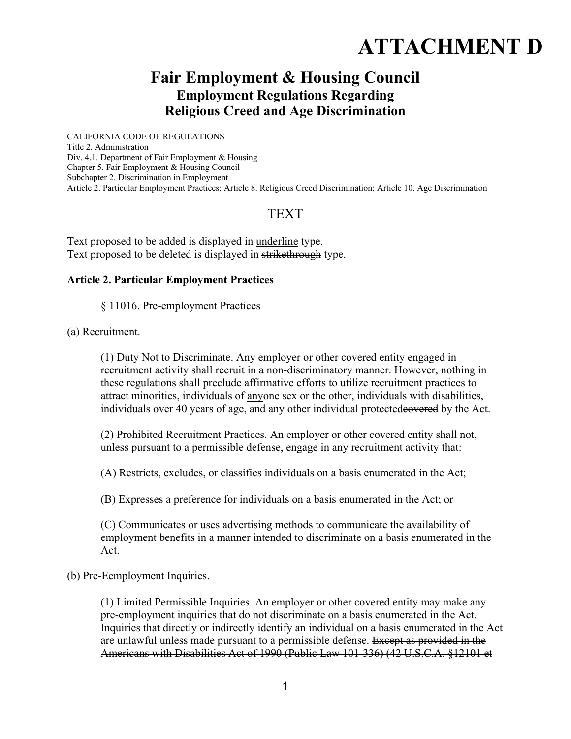# **ATTACHMENT D**

## **Fair Employment & Housing Council Employment Regulations Regarding Religious Creed and Age Discrimination**

CALIFORNIA CODE OF REGULATIONS Title 2. Administration Div. 4.1. Department of Fair Employment & Housing Chapter 5. Fair Employment & Housing Council Subchapter 2. Discrimination in Employment Article 2. Particular Employment Practices; Article 8. Religious Creed Discrimination; Article 10. Age Discrimination

### **TEXT**

Text proposed to be added is displayed in underline type. Text proposed to be deleted is displayed in strikethrough type.

#### **Article 2. Particular Employment Practices**

§ 11016. Pre-employment Practices

(a) Recruitment.

(1) Duty Not to Discriminate. Any employer or other covered entity engaged in recruitment activity shall recruit in a non-discriminatory manner. However, nothing in these regulations shall preclude affirmative efforts to utilize recruitment practices to attract minorities, individuals of anyone sex or the other, individuals with disabilities, individuals over 40 years of age, and any other individual protectedeovered by the Act.

(2) Prohibited Recruitment Practices. An employer or other covered entity shall not, unless pursuant to a permissible defense, engage in any recruitment activity that:

(A) Restricts, excludes, or classifies individuals on a basis enumerated in the Act;

(B) Expresses a preference for individuals on a basis enumerated in the Act; or

(C) Communicates or uses advertising methods to communicate the availability of employment benefits in a manner intended to discriminate on a basis enumerated in the Act.

(b) Pre-Eemployment Inquiries.

(1) Limited Permissible Inquiries. An employer or other covered entity may make any pre-employment inquiries that do not discriminate on a basis enumerated in the Act. Inquiries that directly or indirectly identify an individual on a basis enumerated in the Act are unlawful unless made pursuant to a permissible defense. Except as provided in the Americans with Disabilities Act of 1990 (Public Law 101-336) (42 U.S.C.A. §12101 et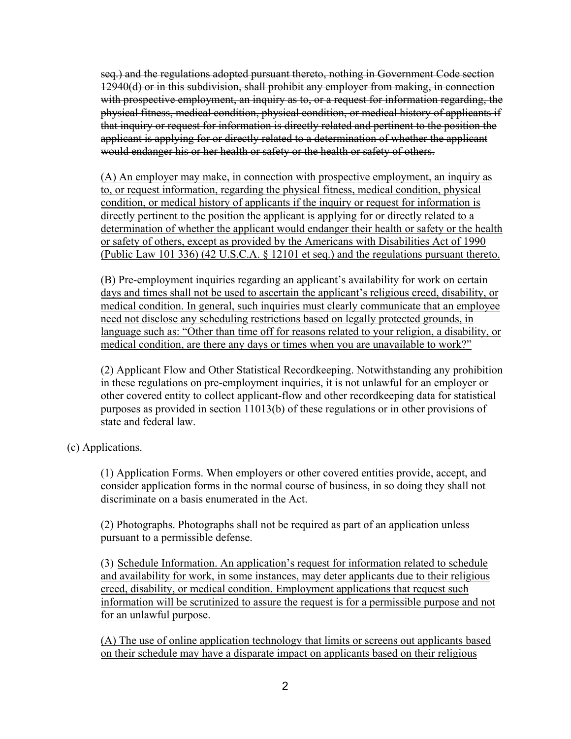seq.) and the regulations adopted pursuant thereto, nothing in Government Code section 12940(d) or in this subdivision, shall prohibit any employer from making, in connection with prospective employment, an inquiry as to, or a request for information regarding, the physical fitness, medical condition, physical condition, or medical history of applicants if that inquiry or request for information is directly related and pertinent to the position the applicant is applying for or directly related to a determination of whether the applicant would endanger his or her health or safety or the health or safety of others.

(A) An employer may make, in connection with prospective employment, an inquiry as to, or request information, regarding the physical fitness, medical condition, physical condition, or medical history of applicants if the inquiry or request for information is directly pertinent to the position the applicant is applying for or directly related to a determination of whether the applicant would endanger their health or safety or the health or safety of others, except as provided by the Americans with Disabilities Act of 1990 (Public Law 101 336) (42 U.S.C.A. § 12101 et seq.) and the regulations pursuant thereto.

(B) Pre-employment inquiries regarding an applicant's availability for work on certain days and times shall not be used to ascertain the applicant's religious creed, disability, or medical condition. In general, such inquiries must clearly communicate that an employee need not disclose any scheduling restrictions based on legally protected grounds, in language such as: "Other than time off for reasons related to your religion, a disability, or medical condition, are there any days or times when you are unavailable to work?"

(2) Applicant Flow and Other Statistical Recordkeeping. Notwithstanding any prohibition in these regulations on pre-employment inquiries, it is not unlawful for an employer or other covered entity to collect applicant-flow and other recordkeeping data for statistical purposes as provided in section 11013(b) of these regulations or in other provisions of state and federal law.

(c) Applications.

(1) Application Forms. When employers or other covered entities provide, accept, and consider application forms in the normal course of business, in so doing they shall not discriminate on a basis enumerated in the Act.

(2) Photographs. Photographs shall not be required as part of an application unless pursuant to a permissible defense.

(3) Schedule Information. An application's request for information related to schedule and availability for work, in some instances, may deter applicants due to their religious creed, disability, or medical condition. Employment applications that request such information will be scrutinized to assure the request is for a permissible purpose and not for an unlawful purpose.

(A) The use of online application technology that limits or screens out applicants based on their schedule may have a disparate impact on applicants based on their religious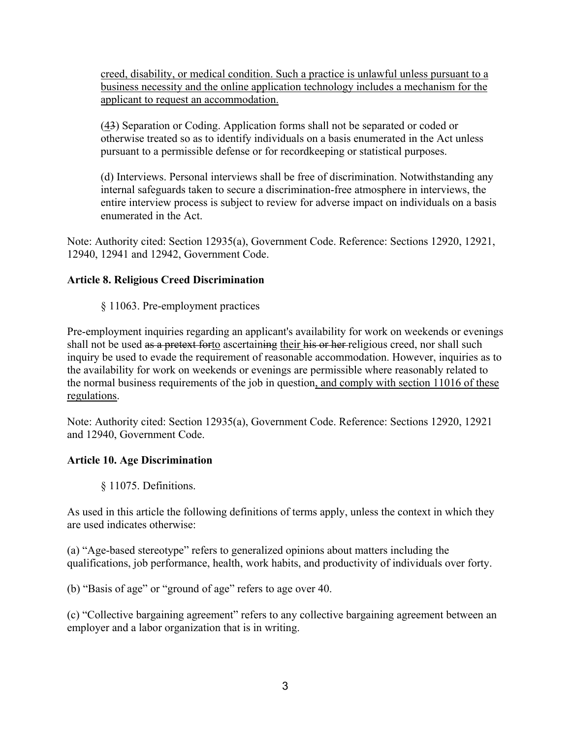creed, disability, or medical condition. Such a practice is unlawful unless pursuant to a business necessity and the online application technology includes a mechanism for the applicant to request an accommodation.

(43) Separation or Coding. Application forms shall not be separated or coded or otherwise treated so as to identify individuals on a basis enumerated in the Act unless pursuant to a permissible defense or for recordkeeping or statistical purposes.

(d) Interviews. Personal interviews shall be free of discrimination. Notwithstanding any internal safeguards taken to secure a discrimination-free atmosphere in interviews, the entire interview process is subject to review for adverse impact on individuals on a basis enumerated in the Act.

Note: Authority cited: Section 12935(a), Government Code. Reference: Sections 12920, 12921, 12940, 12941 and 12942, Government Code.

#### **Article 8. Religious Creed Discrimination**

§ 11063. Pre-employment practices

Pre-employment inquiries regarding an applicant's availability for work on weekends or evenings shall not be used as a pretext forto ascertaining their his or her religious creed, nor shall such inquiry be used to evade the requirement of reasonable accommodation. However, inquiries as to the availability for work on weekends or evenings are permissible where reasonably related to the normal business requirements of the job in question, and comply with section 11016 of these regulations.

Note: Authority cited: Section 12935(a), Government Code. Reference: Sections 12920, 12921 and 12940, Government Code.

#### **Article 10. Age Discrimination**

§ 11075. Definitions.

As used in this article the following definitions of terms apply, unless the context in which they are used indicates otherwise:

(a) "Age-based stereotype" refers to generalized opinions about matters including the qualifications, job performance, health, work habits, and productivity of individuals over forty.

(b) "Basis of age" or "ground of age" refers to age over 40.

(c) "Collective bargaining agreement" refers to any collective bargaining agreement between an employer and a labor organization that is in writing.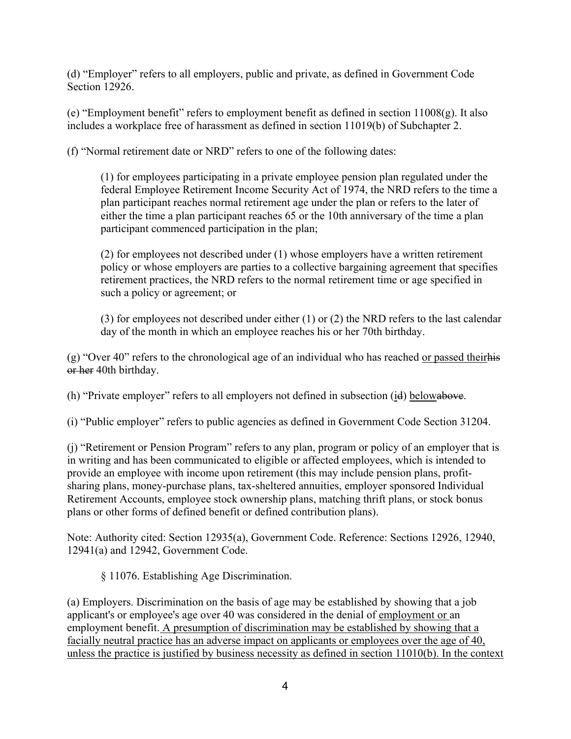(d) "Employer" refers to all employers, public and private, as defined in Government Code Section 12926.

(e) "Employment benefit" refers to employment benefit as defined in section  $11008(g)$ . It also includes a workplace free of harassment as defined in section 11019(b) of Subchapter 2.

(f) "Normal retirement date or NRD" refers to one of the following dates:

(1) for employees participating in a private employee pension plan regulated under the federal Employee Retirement Income Security Act of 1974, the NRD refers to the time a plan participant reaches normal retirement age under the plan or refers to the later of either the time a plan participant reaches 65 or the 10th anniversary of the time a plan participant commenced participation in the plan;

(2) for employees not described under (1) whose employers have a written retirement policy or whose employers are parties to a collective bargaining agreement that specifies retirement practices, the NRD refers to the normal retirement time or age specified in such a policy or agreement; or

(3) for employees not described under either (1) or (2) the NRD refers to the last calendar day of the month in which an employee reaches his or her 70th birthday.

(g) "Over 40" refers to the chronological age of an individual who has reached or passed theirhis or her 40th birthday.

(h) "Private employer" refers to all employers not defined in subsection (id) belowabove.

(i) "Public employer" refers to public agencies as defined in Government Code Section 31204.

(j) "Retirement or Pension Program" refers to any plan, program or policy of an employer that is in writing and has been communicated to eligible or affected employees, which is intended to provide an employee with income upon retirement (this may include pension plans, profitsharing plans, money-purchase plans, tax-sheltered annuities, employer sponsored Individual Retirement Accounts, employee stock ownership plans, matching thrift plans, or stock bonus plans or other forms of defined benefit or defined contribution plans).

Note: Authority cited: Section 12935(a), Government Code. Reference: Sections 12926, 12940, 12941(a) and 12942, Government Code.

§ 11076. Establishing Age Discrimination.

(a) Employers. Discrimination on the basis of age may be established by showing that a job applicant's or employee's age over 40 was considered in the denial of employment or an employment benefit. A presumption of discrimination may be established by showing that a facially neutral practice has an adverse impact on applicants or employees over the age of 40, unless the practice is justified by business necessity as defined in section 11010(b). In the context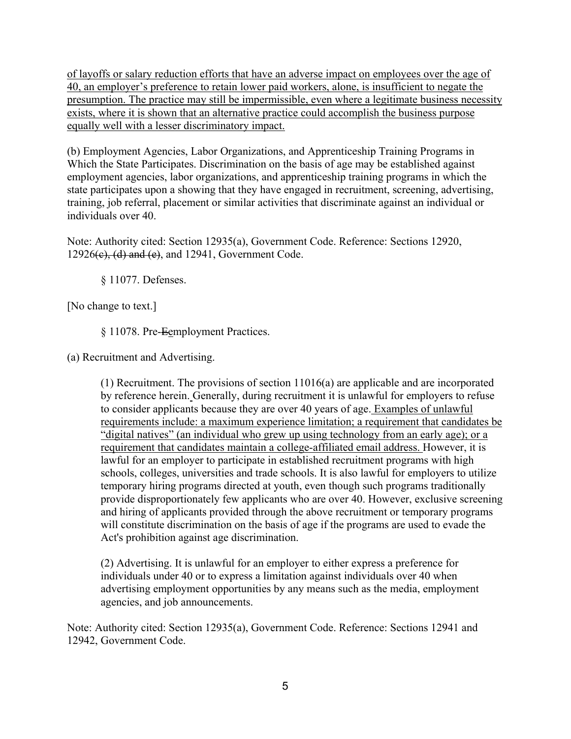of layoffs or salary reduction efforts that have an adverse impact on employees over the age of 40, an employer's preference to retain lower paid workers, alone, is insufficient to negate the presumption. The practice may still be impermissible, even where a legitimate business necessity exists, where it is shown that an alternative practice could accomplish the business purpose equally well with a lesser discriminatory impact.

(b) Employment Agencies, Labor Organizations, and Apprenticeship Training Programs in Which the State Participates. Discrimination on the basis of age may be established against employment agencies, labor organizations, and apprenticeship training programs in which the state participates upon a showing that they have engaged in recruitment, screening, advertising, training, job referral, placement or similar activities that discriminate against an individual or individuals over 40.

Note: Authority cited: Section 12935(a), Government Code. Reference: Sections 12920,  $12926(e)$ , (d) and (e), and  $12941$ , Government Code.

§ 11077. Defenses.

[No change to text.]

§ 11078. Pre-Eemployment Practices.

(a) Recruitment and Advertising.

(1) Recruitment. The provisions of section 11016(a) are applicable and are incorporated by reference herein. Generally, during recruitment it is unlawful for employers to refuse to consider applicants because they are over 40 years of age. Examples of unlawful requirements include: a maximum experience limitation; a requirement that candidates be "digital natives" (an individual who grew up using technology from an early age); or a requirement that candidates maintain a college-affiliated email address. However, it is lawful for an employer to participate in established recruitment programs with high schools, colleges, universities and trade schools. It is also lawful for employers to utilize temporary hiring programs directed at youth, even though such programs traditionally provide disproportionately few applicants who are over 40. However, exclusive screening and hiring of applicants provided through the above recruitment or temporary programs will constitute discrimination on the basis of age if the programs are used to evade the Act's prohibition against age discrimination.

(2) Advertising. It is unlawful for an employer to either express a preference for individuals under 40 or to express a limitation against individuals over 40 when advertising employment opportunities by any means such as the media, employment agencies, and job announcements.

Note: Authority cited: Section 12935(a), Government Code. Reference: Sections 12941 and 12942, Government Code.